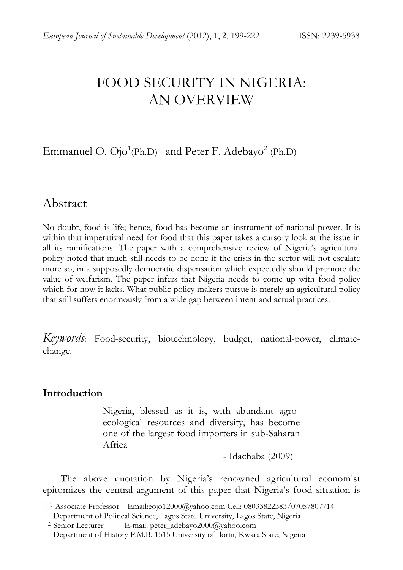# FOOD SECURITY IN NIGERIA: AN OVERVIEW

# Emmanuel O. Ojo<sup>1</sup>(Ph.D) and Peter F. Adebayo<sup>2</sup> (Ph.D)

# Abstract

No doubt, food is life; hence, food has become an instrument of national power. It is within that imperatival need for food that this paper takes a cursory look at the issue in all its ramifications. The paper with a comprehensive review of Nigeria's agricultural policy noted that much still needs to be done if the crisis in the sector will not escalate more so, in a supposedly democratic dispensation which expectedly should promote the value of welfarism. The paper infers that Nigeria needs to come up with food policy which for now it lacks. What public policy makers pursue is merely an agricultural policy that still suffers enormously from a wide gap between intent and actual practices.

*Keywords*: Food-security, biotechnology, budget, national-power, climatechange.

# **Introduction**

Nigeria, blessed as it is, with abundant agroecological resources and diversity, has become one of the largest food importers in sub-Saharan Africa

- Idachaba (2009)

 The above quotation by Nigeria's renowned agricultural economist epitomizes the central argument of this paper that Nigeria's food situation is

 <sup>|</sup> <sup>1</sup> Associate Professor Email:eojo12000@yahoo.com Cell: 08033822383/07057807714

Department of Political Science, Lagos State University, Lagos State, Nigeria

 <sup>2</sup> Senior Lecturer E-mail: peter\_adebayo2000@yahoo.com Department of History P.M.B. 1515 University of Ilorin, Kwara State, Nigeria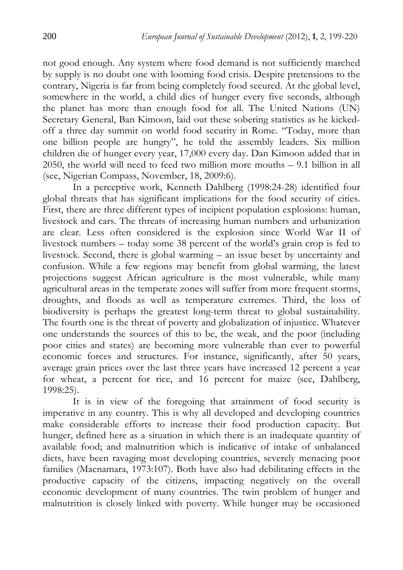not good enough. Any system where food demand is not sufficiently marched by supply is no doubt one with looming food crisis. Despite pretensions to the contrary, Nigeria is far from being completely food secured. At the global level, somewhere in the world, a child dies of hunger every five seconds, although the planet has more than enough food for all. The United Nations (UN) Secretary General, Ban Kimoon, laid out these sobering statistics as he kickedoff a three day summit on world food security in Rome. "Today, more than one billion people are hungry", he told the assembly leaders. Six million children die of hunger every year, 17,000 every day. Dan Kimoon added that in 2050, the world will need to feed two million more mouths – 9.1 billion in all (see, Nigerian Compass, November, 18, 2009:6).

 In a perceptive work, Kenneth Dahlberg (1998:24-28) identified four global threats that has significant implications for the food security of cities. First, there are three different types of incipient population explosions: human, livestock and cars. The threats of increasing human numbers and urbanization are clear. Less often considered is the explosion since World War II of livestock numbers – today some 38 percent of the world's grain crop is fed to livestock. Second, there is global warming – an issue beset by uncertainty and confusion. While a few regions may benefit from global warming, the latest projections suggest African agriculture is the most vulnerable, while many agricultural areas in the temperate zones will suffer from more frequent storms, droughts, and floods as well as temperature extremes. Third, the loss of biodiversity is perhaps the greatest long-term threat to global sustainability. The fourth one is the threat of poverty and globalization of injustice. Whatever one understands the sources of this to be, the weak, and the poor (including poor cities and states) are becoming more vulnerable than ever to powerful economic forces and structures. For instance, significantly, after 50 years, average grain prices over the last three years have increased 12 percent a year for wheat, a percent for rice, and 16 percent for maize (see, Dahlberg, 1998:25).

 It is in view of the foregoing that attainment of food security is imperative in any country. This is why all developed and developing countries make considerable efforts to increase their food production capacity. But hunger, defined here as a situation in which there is an inadequate quantity of available food; and malnutrition which is indicative of intake of unbalanced diets, have been ravaging most developing countries, severely menacing poor families (Macnamara, 1973:107). Both have also had debilitating effects in the productive capacity of the citizens, impacting negatively on the overall economic development of many countries. The twin problem of hunger and malnutrition is closely linked with poverty. While hunger may be occasioned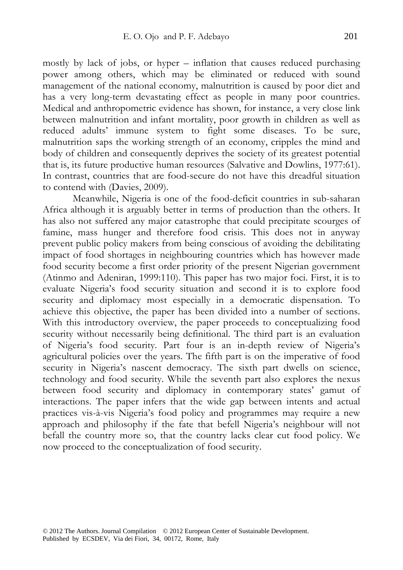mostly by lack of jobs, or hyper – inflation that causes reduced purchasing power among others, which may be eliminated or reduced with sound management of the national economy, malnutrition is caused by poor diet and has a very long-term devastating effect as people in many poor countries. Medical and anthropometric evidence has shown, for instance, a very close link between malnutrition and infant mortality, poor growth in children as well as reduced adults' immune system to fight some diseases. To be sure, malnutrition saps the working strength of an economy, cripples the mind and body of children and consequently deprives the society of its greatest potential that is, its future productive human resources (Salvative and Dowlins, 1977:61). In contrast, countries that are food-secure do not have this dreadful situation to contend with (Davies, 2009).

 Meanwhile, Nigeria is one of the food-deficit countries in sub-saharan Africa although it is arguably better in terms of production than the others. It has also not suffered any major catastrophe that could precipitate scourges of famine, mass hunger and therefore food crisis. This does not in anyway prevent public policy makers from being conscious of avoiding the debilitating impact of food shortages in neighbouring countries which has however made food security become a first order priority of the present Nigerian government (Atinmo and Adeniran, 1999:110). This paper has two major foci. First, it is to evaluate Nigeria's food security situation and second it is to explore food security and diplomacy most especially in a democratic dispensation. To achieve this objective, the paper has been divided into a number of sections. With this introductory overview, the paper proceeds to conceptualizing food security without necessarily being definitional. The third part is an evaluation of Nigeria's food security. Part four is an in-depth review of Nigeria's agricultural policies over the years. The fifth part is on the imperative of food security in Nigeria's nascent democracy. The sixth part dwells on science, technology and food security. While the seventh part also explores the nexus between food security and diplomacy in contemporary states' gamut of interactions. The paper infers that the wide gap between intents and actual practices vis-à-vis Nigeria's food policy and programmes may require a new approach and philosophy if the fate that befell Nigeria's neighbour will not befall the country more so, that the country lacks clear cut food policy. We now proceed to the conceptualization of food security.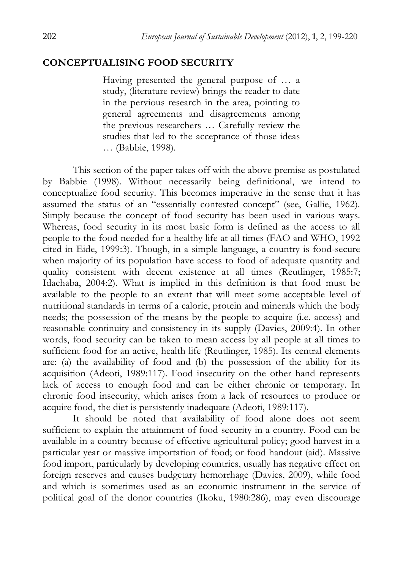#### **CONCEPTUALISING FOOD SECURITY**

Having presented the general purpose of … a study, (literature review) brings the reader to date in the pervious research in the area, pointing to general agreements and disagreements among the previous researchers … Carefully review the studies that led to the acceptance of those ideas … (Babbie, 1998).

 This section of the paper takes off with the above premise as postulated by Babbie (1998). Without necessarily being definitional, we intend to conceptualize food security. This becomes imperative in the sense that it has assumed the status of an "essentially contested concept" (see, Gallie, 1962). Simply because the concept of food security has been used in various ways. Whereas, food security in its most basic form is defined as the access to all people to the food needed for a healthy life at all times (FAO and WHO, 1992 cited in Eide, 1999:3). Though, in a simple language, a country is food-secure when majority of its population have access to food of adequate quantity and quality consistent with decent existence at all times (Reutlinger, 1985:7; Idachaba, 2004:2). What is implied in this definition is that food must be available to the people to an extent that will meet some acceptable level of nutritional standards in terms of a calorie, protein and minerals which the body needs; the possession of the means by the people to acquire (i.e. access) and reasonable continuity and consistency in its supply (Davies, 2009:4). In other words, food security can be taken to mean access by all people at all times to sufficient food for an active, health life (Reutlinger, 1985). Its central elements are: (a) the availability of food and (b) the possession of the ability for its acquisition (Adeoti, 1989:117). Food insecurity on the other hand represents lack of access to enough food and can be either chronic or temporary. In chronic food insecurity, which arises from a lack of resources to produce or acquire food, the diet is persistently inadequate (Adeoti, 1989:117).

 It should be noted that availability of food alone does not seem sufficient to explain the attainment of food security in a country. Food can be available in a country because of effective agricultural policy; good harvest in a particular year or massive importation of food; or food handout (aid). Massive food import, particularly by developing countries, usually has negative effect on foreign reserves and causes budgetary hemorrhage (Davies, 2009), while food and which is sometimes used as an economic instrument in the service of political goal of the donor countries (Ikoku, 1980:286), may even discourage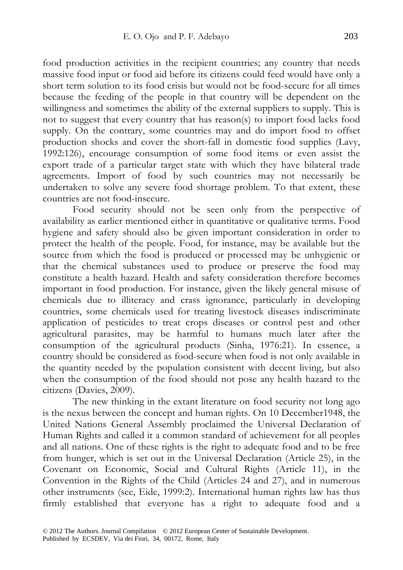food production activities in the recipient countries; any country that needs massive food input or food aid before its citizens could feed would have only a short term solution to its food crisis but would not be food-secure for all times because the feeding of the people in that country will be dependent on the willingness and sometimes the ability of the external suppliers to supply. This is not to suggest that every country that has reason(s) to import food lacks food supply. On the contrary, some countries may and do import food to offset production shocks and cover the short-fall in domestic food supplies (Lavy, 1992:126), encourage consumption of some food items or even assist the export trade of a particular target state with which they have bilateral trade agreements. Import of food by such countries may not necessarily be undertaken to solve any severe food shortage problem. To that extent, these countries are not food-insecure.

 Food security should not be seen only from the perspective of availability as earlier mentioned either in quantitative or qualitative terms. Food hygiene and safety should also be given important consideration in order to protect the health of the people. Food, for instance, may be available but the source from which the food is produced or processed may be unhygienic or that the chemical substances used to produce or preserve the food may constitute a health hazard. Health and safety consideration therefore becomes important in food production. For instance, given the likely general misuse of chemicals due to illiteracy and crass ignorance, particularly in developing countries, some chemicals used for treating livestock diseases indiscriminate application of pesticides to treat crops diseases or control pest and other agricultural parasites, may be harmful to humans much later after the consumption of the agricultural products (Sinha, 1976:21). In essence, a country should be considered as food-secure when food is not only available in the quantity needed by the population consistent with decent living, but also when the consumption of the food should not pose any health hazard to the citizens (Davies, 2009).

 The new thinking in the extant literature on food security not long ago is the nexus between the concept and human rights. On 10 December1948, the United Nations General Assembly proclaimed the Universal Declaration of Human Rights and called it a common standard of achievement for all peoples and all nations. One of these rights is the right to adequate food and to be free from hunger, which is set out in the Universal Declaration (Article 25), in the Covenant on Economic, Social and Cultural Rights (Article 11), in the Convention in the Rights of the Child (Articles 24 and 27), and in numerous other instruments (see, Eide, 1999:2). International human rights law has thus firmly established that everyone has a right to adequate food and a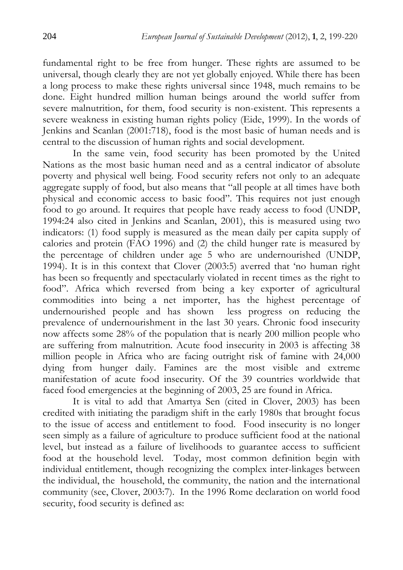fundamental right to be free from hunger. These rights are assumed to be universal, though clearly they are not yet globally enjoyed. While there has been a long process to make these rights universal since 1948, much remains to be done. Eight hundred million human beings around the world suffer from severe malnutrition, for them, food security is non-existent. This represents a severe weakness in existing human rights policy (Eide, 1999). In the words of Jenkins and Scanlan (2001:718), food is the most basic of human needs and is central to the discussion of human rights and social development.

 In the same vein, food security has been promoted by the United Nations as the most basic human need and as a central indicator of absolute poverty and physical well being. Food security refers not only to an adequate aggregate supply of food, but also means that "all people at all times have both physical and economic access to basic food". This requires not just enough food to go around. It requires that people have ready access to food (UNDP, 1994:24 also cited in Jenkins and Scanlan, 2001), this is measured using two indicators: (1) food supply is measured as the mean daily per capita supply of calories and protein (FAO 1996) and (2) the child hunger rate is measured by the percentage of children under age 5 who are undernourished (UNDP, 1994). It is in this context that Clover (2003:5) averred that 'no human right has been so frequently and spectacularly violated in recent times as the right to food". Africa which reversed from being a key exporter of agricultural commodities into being a net importer, has the highest percentage of undernourished people and has shown less progress on reducing the prevalence of undernourishment in the last 30 years. Chronic food insecurity now affects some 28% of the population that is nearly 200 million people who are suffering from malnutrition. Acute food insecurity in 2003 is affecting 38 million people in Africa who are facing outright risk of famine with 24,000 dying from hunger daily. Famines are the most visible and extreme manifestation of acute food insecurity. Of the 39 countries worldwide that faced food emergencies at the beginning of 2003, 25 are found in Africa.

 It is vital to add that Amartya Sen (cited in Clover, 2003) has been credited with initiating the paradigm shift in the early 1980s that brought focus to the issue of access and entitlement to food. Food insecurity is no longer seen simply as a failure of agriculture to produce sufficient food at the national level, but instead as a failure of livelihoods to guarantee access to sufficient food at the household level. Today, most common definition begin with individual entitlement, though recognizing the complex inter-linkages between the individual, the household, the community, the nation and the international community (see, Clover, 2003:7). In the 1996 Rome declaration on world food security, food security is defined as: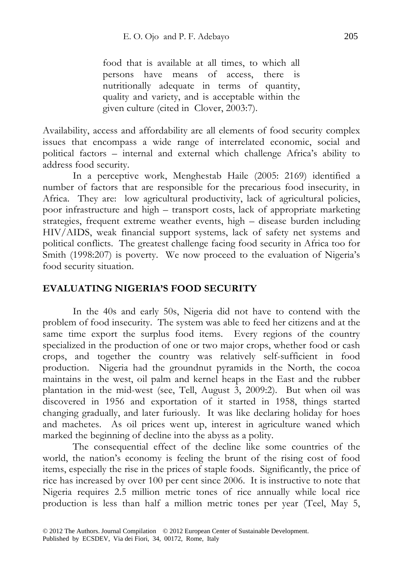food that is available at all times, to which all persons have means of access, there is nutritionally adequate in terms of quantity, quality and variety, and is acceptable within the given culture (cited in Clover, 2003:7).

Availability, access and affordability are all elements of food security complex issues that encompass a wide range of interrelated economic, social and political factors – internal and external which challenge Africa's ability to address food security.

 In a perceptive work, Menghestab Haile (2005: 2169) identified a number of factors that are responsible for the precarious food insecurity, in Africa. They are: low agricultural productivity, lack of agricultural policies, poor infrastructure and high – transport costs, lack of appropriate marketing strategies, frequent extreme weather events, high – disease burden including HIV/AIDS, weak financial support systems, lack of safety net systems and political conflicts. The greatest challenge facing food security in Africa too for Smith (1998:207) is poverty. We now proceed to the evaluation of Nigeria's food security situation.

# **EVALUATING NIGERIA'S FOOD SECURITY**

 In the 40s and early 50s, Nigeria did not have to contend with the problem of food insecurity. The system was able to feed her citizens and at the same time export the surplus food items. Every regions of the country specialized in the production of one or two major crops, whether food or cash crops, and together the country was relatively self-sufficient in food production. Nigeria had the groundnut pyramids in the North, the cocoa maintains in the west, oil palm and kernel heaps in the East and the rubber plantation in the mid-west (see, Tell, August 3, 2009:2). But when oil was discovered in 1956 and exportation of it started in 1958, things started changing gradually, and later furiously. It was like declaring holiday for hoes and machetes. As oil prices went up, interest in agriculture waned which marked the beginning of decline into the abyss as a polity.

 The consequential effect of the decline like some countries of the world, the nation's economy is feeling the brunt of the rising cost of food items, especially the rise in the prices of staple foods. Significantly, the price of rice has increased by over 100 per cent since 2006. It is instructive to note that Nigeria requires 2.5 million metric tones of rice annually while local rice production is less than half a million metric tones per year (Teel, May 5,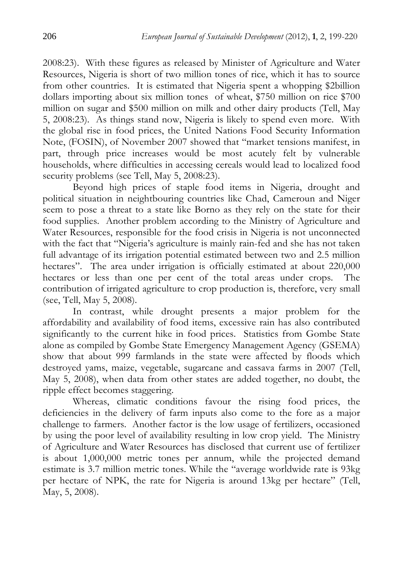2008:23). With these figures as released by Minister of Agriculture and Water Resources, Nigeria is short of two million tones of rice, which it has to source from other countries. It is estimated that Nigeria spent a whopping \$2billion dollars importing about six million tones of wheat, \$750 million on rice \$700 million on sugar and \$500 million on milk and other dairy products (Tell, May 5, 2008:23). As things stand now, Nigeria is likely to spend even more. With the global rise in food prices, the United Nations Food Security Information Note, (FOSIN), of November 2007 showed that "market tensions manifest, in part, through price increases would be most acutely felt by vulnerable households, where difficulties in accessing cereals would lead to localized food security problems (see Tell, May 5, 2008:23).

 Beyond high prices of staple food items in Nigeria, drought and political situation in neightbouring countries like Chad, Cameroun and Niger seem to pose a threat to a state like Borno as they rely on the state for their food supplies. Another problem according to the Ministry of Agriculture and Water Resources, responsible for the food crisis in Nigeria is not unconnected with the fact that "Nigeria's agriculture is mainly rain-fed and she has not taken full advantage of its irrigation potential estimated between two and 2.5 million hectares". The area under irrigation is officially estimated at about 220,000 hectares or less than one per cent of the total areas under crops. The contribution of irrigated agriculture to crop production is, therefore, very small (see, Tell, May 5, 2008).

 In contrast, while drought presents a major problem for the affordability and availability of food items, excessive rain has also contributed significantly to the current hike in food prices. Statistics from Gombe State alone as compiled by Gombe State Emergency Management Agency (GSEMA) show that about 999 farmlands in the state were affected by floods which destroyed yams, maize, vegetable, sugarcane and cassava farms in 2007 (Tell, May 5, 2008), when data from other states are added together, no doubt, the ripple effect becomes staggering.

Whereas, climatic conditions favour the rising food prices, the deficiencies in the delivery of farm inputs also come to the fore as a major challenge to farmers. Another factor is the low usage of fertilizers, occasioned by using the poor level of availability resulting in low crop yield. The Ministry of Agriculture and Water Resources has disclosed that current use of fertilizer is about 1,000,000 metric tones per annum, while the projected demand estimate is 3.7 million metric tones. While the "average worldwide rate is 93kg per hectare of NPK, the rate for Nigeria is around 13kg per hectare" (Tell, May, 5, 2008).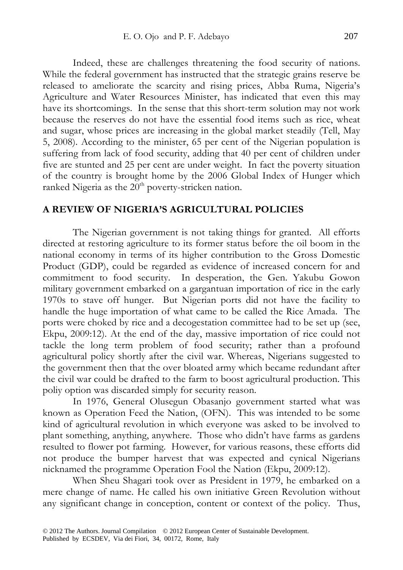Indeed, these are challenges threatening the food security of nations. While the federal government has instructed that the strategic grains reserve be released to ameliorate the scarcity and rising prices, Abba Ruma, Nigeria's Agriculture and Water Resources Minister, has indicated that even this may have its shortcomings. In the sense that this short-term solution may not work because the reserves do not have the essential food items such as rice, wheat and sugar, whose prices are increasing in the global market steadily (Tell, May 5, 2008). According to the minister, 65 per cent of the Nigerian population is suffering from lack of food security, adding that 40 per cent of children under five are stunted and 25 per cent are under weight. In fact the poverty situation of the country is brought home by the 2006 Global Index of Hunger which ranked Nigeria as the  $20<sup>th</sup>$  poverty-stricken nation.

#### **A REVIEW OF NIGERIA'S AGRICULTURAL POLICIES**

 The Nigerian government is not taking things for granted. All efforts directed at restoring agriculture to its former status before the oil boom in the national economy in terms of its higher contribution to the Gross Domestic Product (GDP), could be regarded as evidence of increased concern for and commitment to food security. In desperation, the Gen. Yakubu Gowon military government embarked on a gargantuan importation of rice in the early 1970s to stave off hunger. But Nigerian ports did not have the facility to handle the huge importation of what came to be called the Rice Amada. The ports were choked by rice and a decogestation committee had to be set up (see, Ekpu, 2009:12). At the end of the day, massive importation of rice could not tackle the long term problem of food security; rather than a profound agricultural policy shortly after the civil war. Whereas, Nigerians suggested to the government then that the over bloated army which became redundant after the civil war could be drafted to the farm to boost agricultural production. This poliy option was discarded simply for security reason.

 In 1976, General Olusegun Obasanjo government started what was known as Operation Feed the Nation, (OFN). This was intended to be some kind of agricultural revolution in which everyone was asked to be involved to plant something, anything, anywhere. Those who didn't have farms as gardens resulted to flower pot farming. However, for various reasons, these efforts did not produce the bumper harvest that was expected and cynical Nigerians nicknamed the programme Operation Fool the Nation (Ekpu, 2009:12).

 When Sheu Shagari took over as President in 1979, he embarked on a mere change of name. He called his own initiative Green Revolution without any significant change in conception, content or context of the policy. Thus,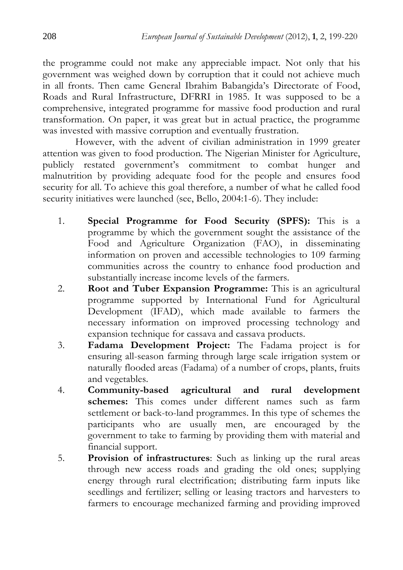the programme could not make any appreciable impact. Not only that his government was weighed down by corruption that it could not achieve much in all fronts. Then came General Ibrahim Babangida's Directorate of Food, Roads and Rural Infrastructure, DFRRI in 1985. It was supposed to be a comprehensive, integrated programme for massive food production and rural transformation. On paper, it was great but in actual practice, the programme was invested with massive corruption and eventually frustration.

 However, with the advent of civilian administration in 1999 greater attention was given to food production. The Nigerian Minister for Agriculture, publicly restated government's commitment to combat hunger and malnutrition by providing adequate food for the people and ensures food security for all. To achieve this goal therefore, a number of what he called food security initiatives were launched (see, Bello, 2004:1-6). They include:

- 1. **Special Programme for Food Security (SPFS):** This is a programme by which the government sought the assistance of the Food and Agriculture Organization (FAO), in disseminating information on proven and accessible technologies to 109 farming communities across the country to enhance food production and substantially increase income levels of the farmers.
- 2. **Root and Tuber Expansion Programme:** This is an agricultural programme supported by International Fund for Agricultural Development (IFAD), which made available to farmers the necessary information on improved processing technology and expansion technique for cassava and cassava products.
- 3. **Fadama Development Project:** The Fadama project is for ensuring all-season farming through large scale irrigation system or naturally flooded areas (Fadama) of a number of crops, plants, fruits and vegetables.
- 4. **Community-based agricultural and rural development schemes:** This comes under different names such as farm settlement or back-to-land programmes. In this type of schemes the participants who are usually men, are encouraged by the government to take to farming by providing them with material and financial support.
- 5. **Provision of infrastructures**: Such as linking up the rural areas through new access roads and grading the old ones; supplying energy through rural electrification; distributing farm inputs like seedlings and fertilizer; selling or leasing tractors and harvesters to farmers to encourage mechanized farming and providing improved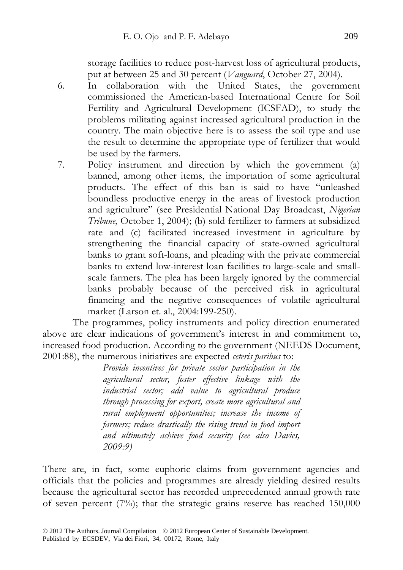storage facilities to reduce post-harvest loss of agricultural products, put at between 25 and 30 percent (*Vanguard*, October 27, 2004).

- 6. In collaboration with the United States, the government commissioned the American-based International Centre for Soil Fertility and Agricultural Development (ICSFAD), to study the problems militating against increased agricultural production in the country. The main objective here is to assess the soil type and use the result to determine the appropriate type of fertilizer that would be used by the farmers.
- 7. Policy instrument and direction by which the government (a) banned, among other items, the importation of some agricultural products. The effect of this ban is said to have "unleashed boundless productive energy in the areas of livestock production and agriculture" (see Presidential National Day Broadcast, *Nigerian Tribune*, October 1, 2004); (b) sold fertilizer to farmers at subsidized rate and (c) facilitated increased investment in agriculture by strengthening the financial capacity of state-owned agricultural banks to grant soft-loans, and pleading with the private commercial banks to extend low-interest loan facilities to large-scale and smallscale farmers. The plea has been largely ignored by the commercial banks probably because of the perceived risk in agricultural financing and the negative consequences of volatile agricultural market (Larson et. al., 2004:199-250).

The programmes, policy instruments and policy direction enumerated above are clear indications of government's interest in and commitment to, increased food production. According to the government (NEEDS Document, 2001:88), the numerous initiatives are expected *ceteris paribus* to:

> *Provide incentives for private sector participation in the agricultural sector, foster effective linkage with the industrial sector; add value to agricultural produce through processing for export, create more agricultural and rural employment opportunities; increase the income of farmers; reduce drastically the rising trend in food import and ultimately achieve food security (see also Davies, 2009:9)*

There are, in fact, some euphoric claims from government agencies and officials that the policies and programmes are already yielding desired results because the agricultural sector has recorded unprecedented annual growth rate of seven percent (7%); that the strategic grains reserve has reached 150,000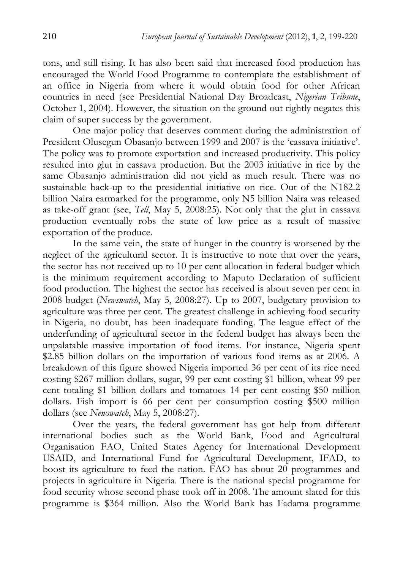tons, and still rising. It has also been said that increased food production has encouraged the World Food Programme to contemplate the establishment of an office in Nigeria from where it would obtain food for other African countries in need (see Presidential National Day Broadcast, *Nigerian Tribune*, October 1, 2004). However, the situation on the ground out rightly negates this claim of super success by the government.

 One major policy that deserves comment during the administration of President Olusegun Obasanjo between 1999 and 2007 is the 'cassava initiative'. The policy was to promote exportation and increased productivity. This policy resulted into glut in cassava production. But the 2003 initiative in rice by the same Obasanjo administration did not yield as much result. There was no sustainable back-up to the presidential initiative on rice. Out of the N182.2 billion Naira earmarked for the programme, only N5 billion Naira was released as take-off grant (see, *Tell*, May 5, 2008:25). Not only that the glut in cassava production eventually robs the state of low price as a result of massive exportation of the produce.

 In the same vein, the state of hunger in the country is worsened by the neglect of the agricultural sector. It is instructive to note that over the years, the sector has not received up to 10 per cent allocation in federal budget which is the minimum requirement according to Maputo Declaration of sufficient food production. The highest the sector has received is about seven per cent in 2008 budget (*Newswatch*, May 5, 2008:27). Up to 2007, budgetary provision to agriculture was three per cent. The greatest challenge in achieving food security in Nigeria, no doubt, has been inadequate funding. The league effect of the underfunding of agricultural sector in the federal budget has always been the unpalatable massive importation of food items. For instance, Nigeria spent \$2.85 billion dollars on the importation of various food items as at 2006. A breakdown of this figure showed Nigeria imported 36 per cent of its rice need costing \$267 million dollars, sugar, 99 per cent costing \$1 billion, wheat 99 per cent totaling \$1 billion dollars and tomatoes 14 per cent costing \$50 million dollars. Fish import is 66 per cent per consumption costing \$500 million dollars (see *Newswatch*, May 5, 2008:27).

 Over the years, the federal government has got help from different international bodies such as the World Bank, Food and Agricultural Organisation FAO, United States Agency for International Development USAID, and International Fund for Agricultural Development, IFAD, to boost its agriculture to feed the nation. FAO has about 20 programmes and projects in agriculture in Nigeria. There is the national special programme for food security whose second phase took off in 2008. The amount slated for this programme is \$364 million. Also the World Bank has Fadama programme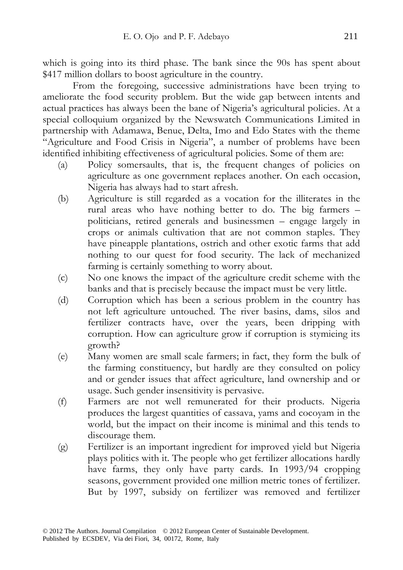which is going into its third phase. The bank since the 90s has spent about \$417 million dollars to boost agriculture in the country.

From the foregoing, successive administrations have been trying to ameliorate the food security problem. But the wide gap between intents and actual practices has always been the bane of Nigeria's agricultural policies. At a special colloquium organized by the Newswatch Communications Limited in partnership with Adamawa, Benue, Delta, Imo and Edo States with the theme "Agriculture and Food Crisis in Nigeria", a number of problems have been identified inhibiting effectiveness of agricultural policies. Some of them are:

- (a) Policy somersaults, that is, the frequent changes of policies on agriculture as one government replaces another. On each occasion, Nigeria has always had to start afresh.
- (b) Agriculture is still regarded as a vocation for the illiterates in the rural areas who have nothing better to do. The big farmers – politicians, retired generals and businessmen – engage largely in crops or animals cultivation that are not common staples. They have pineapple plantations, ostrich and other exotic farms that add nothing to our quest for food security. The lack of mechanized farming is certainly something to worry about.
- (c) No one knows the impact of the agriculture credit scheme with the banks and that is precisely because the impact must be very little.
- (d) Corruption which has been a serious problem in the country has not left agriculture untouched. The river basins, dams, silos and fertilizer contracts have, over the years, been dripping with corruption. How can agriculture grow if corruption is stymieing its growth?
- (e) Many women are small scale farmers; in fact, they form the bulk of the farming constituency, but hardly are they consulted on policy and or gender issues that affect agriculture, land ownership and or usage. Such gender insensitivity is pervasive.
- (f) Farmers are not well remunerated for their products. Nigeria produces the largest quantities of cassava, yams and cocoyam in the world, but the impact on their income is minimal and this tends to discourage them.
- (g) Fertilizer is an important ingredient for improved yield but Nigeria plays politics with it. The people who get fertilizer allocations hardly have farms, they only have party cards. In 1993/94 cropping seasons, government provided one million metric tones of fertilizer. But by 1997, subsidy on fertilizer was removed and fertilizer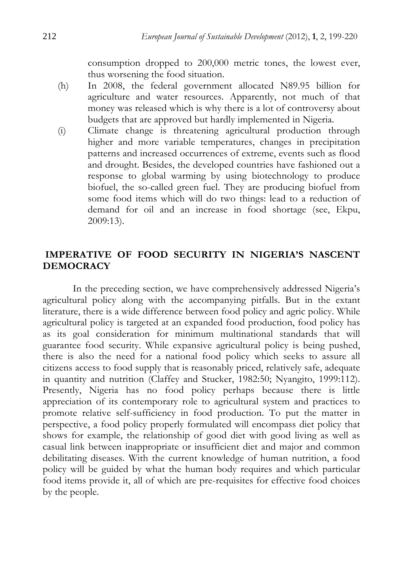consumption dropped to 200,000 metric tones, the lowest ever, thus worsening the food situation.

- (h) In 2008, the federal government allocated N89.95 billion for agriculture and water resources. Apparently, not much of that money was released which is why there is a lot of controversy about budgets that are approved but hardly implemented in Nigeria.
- (i) Climate change is threatening agricultural production through higher and more variable temperatures, changes in precipitation patterns and increased occurrences of extreme, events such as flood and drought. Besides, the developed countries have fashioned out a response to global warming by using biotechnology to produce biofuel, the so-called green fuel. They are producing biofuel from some food items which will do two things: lead to a reduction of demand for oil and an increase in food shortage (see, Ekpu, 2009:13).

### **IMPERATIVE OF FOOD SECURITY IN NIGERIA'S NASCENT DEMOCRACY**

 In the preceding section, we have comprehensively addressed Nigeria's agricultural policy along with the accompanying pitfalls. But in the extant literature, there is a wide difference between food policy and agric policy. While agricultural policy is targeted at an expanded food production, food policy has as its goal consideration for minimum multinational standards that will guarantee food security. While expansive agricultural policy is being pushed, there is also the need for a national food policy which seeks to assure all citizens access to food supply that is reasonably priced, relatively safe, adequate in quantity and nutrition (Claffey and Stucker, 1982:50; Nyangito, 1999:112). Presently, Nigeria has no food policy perhaps because there is little appreciation of its contemporary role to agricultural system and practices to promote relative self-sufficiency in food production. To put the matter in perspective, a food policy properly formulated will encompass diet policy that shows for example, the relationship of good diet with good living as well as casual link between inappropriate or insufficient diet and major and common debilitating diseases. With the current knowledge of human nutrition, a food policy will be guided by what the human body requires and which particular food items provide it, all of which are pre-requisites for effective food choices by the people.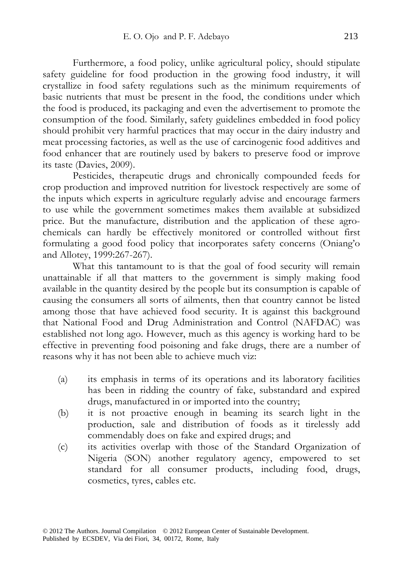Furthermore, a food policy, unlike agricultural policy, should stipulate safety guideline for food production in the growing food industry, it will crystallize in food safety regulations such as the minimum requirements of basic nutrients that must be present in the food, the conditions under which the food is produced, its packaging and even the advertisement to promote the consumption of the food. Similarly, safety guidelines embedded in food policy should prohibit very harmful practices that may occur in the dairy industry and meat processing factories, as well as the use of carcinogenic food additives and food enhancer that are routinely used by bakers to preserve food or improve its taste (Davies, 2009).

 Pesticides, therapeutic drugs and chronically compounded feeds for crop production and improved nutrition for livestock respectively are some of the inputs which experts in agriculture regularly advise and encourage farmers to use while the government sometimes makes them available at subsidized price. But the manufacture, distribution and the application of these agrochemicals can hardly be effectively monitored or controlled without first formulating a good food policy that incorporates safety concerns (Oniang'o and Allotey, 1999:267-267).

What this tantamount to is that the goal of food security will remain unattainable if all that matters to the government is simply making food available in the quantity desired by the people but its consumption is capable of causing the consumers all sorts of ailments, then that country cannot be listed among those that have achieved food security. It is against this background that National Food and Drug Administration and Control (NAFDAC) was established not long ago. However, much as this agency is working hard to be effective in preventing food poisoning and fake drugs, there are a number of reasons why it has not been able to achieve much viz:

- (a) its emphasis in terms of its operations and its laboratory facilities has been in ridding the country of fake, substandard and expired drugs, manufactured in or imported into the country;
- (b) it is not proactive enough in beaming its search light in the production, sale and distribution of foods as it tirelessly add commendably does on fake and expired drugs; and
- (c) its activities overlap with those of the Standard Organization of Nigeria (SON) another regulatory agency, empowered to set standard for all consumer products, including food, drugs, cosmetics, tyres, cables etc.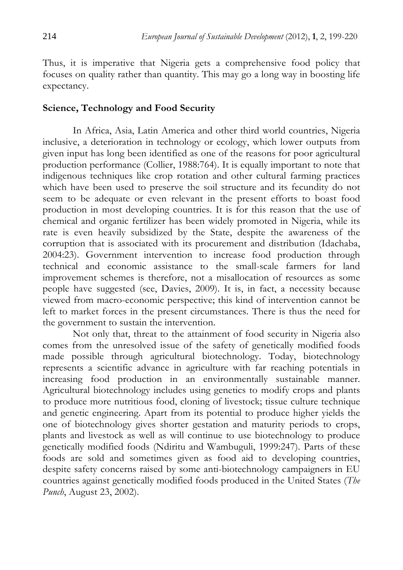Thus, it is imperative that Nigeria gets a comprehensive food policy that focuses on quality rather than quantity. This may go a long way in boosting life expectancy.

#### **Science, Technology and Food Security**

 In Africa, Asia, Latin America and other third world countries, Nigeria inclusive, a deterioration in technology or ecology, which lower outputs from given input has long been identified as one of the reasons for poor agricultural production performance (Collier, 1988:764). It is equally important to note that indigenous techniques like crop rotation and other cultural farming practices which have been used to preserve the soil structure and its fecundity do not seem to be adequate or even relevant in the present efforts to boast food production in most developing countries. It is for this reason that the use of chemical and organic fertilizer has been widely promoted in Nigeria, while its rate is even heavily subsidized by the State, despite the awareness of the corruption that is associated with its procurement and distribution (Idachaba, 2004:23). Government intervention to increase food production through technical and economic assistance to the small-scale farmers for land improvement schemes is therefore, not a misallocation of resources as some people have suggested (see, Davies, 2009). It is, in fact, a necessity because viewed from macro-economic perspective; this kind of intervention cannot be left to market forces in the present circumstances. There is thus the need for the government to sustain the intervention.

 Not only that, threat to the attainment of food security in Nigeria also comes from the unresolved issue of the safety of genetically modified foods made possible through agricultural biotechnology. Today, biotechnology represents a scientific advance in agriculture with far reaching potentials in increasing food production in an environmentally sustainable manner. Agricultural biotechnology includes using genetics to modify crops and plants to produce more nutritious food, cloning of livestock; tissue culture technique and genetic engineering. Apart from its potential to produce higher yields the one of biotechnology gives shorter gestation and maturity periods to crops, plants and livestock as well as will continue to use biotechnology to produce genetically modified foods (Ndiritu and Wambuguli, 1999:247). Parts of these foods are sold and sometimes given as food aid to developing countries, despite safety concerns raised by some anti-biotechnology campaigners in EU countries against genetically modified foods produced in the United States (*The Punch*, August 23, 2002).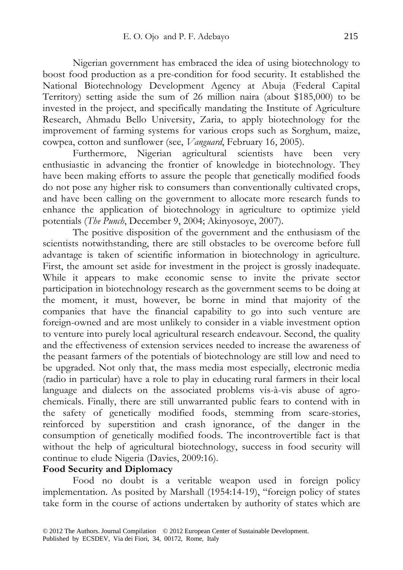Nigerian government has embraced the idea of using biotechnology to boost food production as a pre-condition for food security. It established the National Biotechnology Development Agency at Abuja (Federal Capital Territory) setting aside the sum of 26 million naira (about \$185,000) to be invested in the project, and specifically mandating the Institute of Agriculture Research, Ahmadu Bello University, Zaria, to apply biotechnology for the improvement of farming systems for various crops such as Sorghum, maize, cowpea, cotton and sunflower (see, *Vanguard*, February 16, 2005).

 Furthermore, Nigerian agricultural scientists have been very enthusiastic in advancing the frontier of knowledge in biotechnology. They have been making efforts to assure the people that genetically modified foods do not pose any higher risk to consumers than conventionally cultivated crops, and have been calling on the government to allocate more research funds to enhance the application of biotechnology in agriculture to optimize yield potentials (*The Punch*, December 9, 2004; Akinyosoye, 2007).

 The positive disposition of the government and the enthusiasm of the scientists notwithstanding, there are still obstacles to be overcome before full advantage is taken of scientific information in biotechnology in agriculture. First, the amount set aside for investment in the project is grossly inadequate. While it appears to make economic sense to invite the private sector participation in biotechnology research as the government seems to be doing at the moment, it must, however, be borne in mind that majority of the companies that have the financial capability to go into such venture are foreign-owned and are most unlikely to consider in a viable investment option to venture into purely local agricultural research endeavour. Second, the quality and the effectiveness of extension services needed to increase the awareness of the peasant farmers of the potentials of biotechnology are still low and need to be upgraded. Not only that, the mass media most especially, electronic media (radio in particular) have a role to play in educating rural farmers in their local language and dialects on the associated problems vis-à-vis abuse of agrochemicals. Finally, there are still unwarranted public fears to contend with in the safety of genetically modified foods, stemming from scare-stories, reinforced by superstition and crash ignorance, of the danger in the consumption of genetically modified foods. The incontrovertible fact is that without the help of agricultural biotechnology, success in food security will continue to elude Nigeria (Davies, 2009:16).

### **Food Security and Diplomacy**

 Food no doubt is a veritable weapon used in foreign policy implementation. As posited by Marshall (1954:14-19), "foreign policy of states take form in the course of actions undertaken by authority of states which are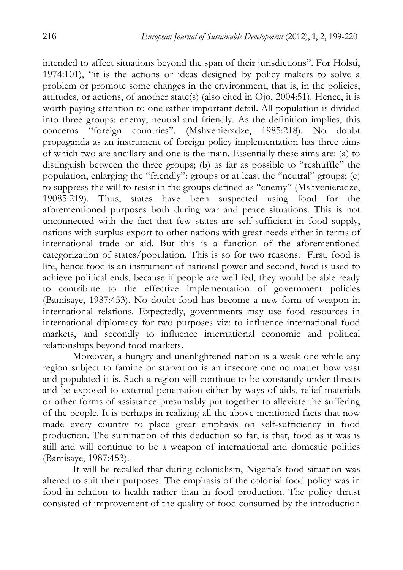intended to affect situations beyond the span of their jurisdictions". For Holsti, 1974:101), "it is the actions or ideas designed by policy makers to solve a problem or promote some changes in the environment, that is, in the policies, attitudes, or actions, of another state(s) (also cited in Ojo, 2004:51). Hence, it is worth paying attention to one rather important detail. All population is divided into three groups: enemy, neutral and friendly. As the definition implies, this concerns "foreign countries". (Mshvenieradze, 1985:218). No doubt propaganda as an instrument of foreign policy implementation has three aims of which two are ancillary and one is the main. Essentially these aims are: (a) to distinguish between the three groups; (b) as far as possible to "reshuffle" the population, enlarging the "friendly": groups or at least the "neutral" groups; (c) to suppress the will to resist in the groups defined as "enemy" (Mshvenieradze, 19085:219). Thus, states have been suspected using food for the aforementioned purposes both during war and peace situations. This is not unconnected with the fact that few states are self-sufficient in food supply, nations with surplus export to other nations with great needs either in terms of international trade or aid. But this is a function of the aforementioned categorization of states/population. This is so for two reasons. First, food is life, hence food is an instrument of national power and second, food is used to achieve political ends, because if people are well fed, they would be able ready to contribute to the effective implementation of government policies (Bamisaye, 1987:453). No doubt food has become a new form of weapon in international relations. Expectedly, governments may use food resources in international diplomacy for two purposes viz: to influence international food markets, and secondly to influence international economic and political relationships beyond food markets.

 Moreover, a hungry and unenlightened nation is a weak one while any region subject to famine or starvation is an insecure one no matter how vast and populated it is. Such a region will continue to be constantly under threats and be exposed to external penetration either by ways of aids, relief materials or other forms of assistance presumably put together to alleviate the suffering of the people. It is perhaps in realizing all the above mentioned facts that now made every country to place great emphasis on self-sufficiency in food production. The summation of this deduction so far, is that, food as it was is still and will continue to be a weapon of international and domestic politics (Bamisaye, 1987:453).

 It will be recalled that during colonialism, Nigeria's food situation was altered to suit their purposes. The emphasis of the colonial food policy was in food in relation to health rather than in food production. The policy thrust consisted of improvement of the quality of food consumed by the introduction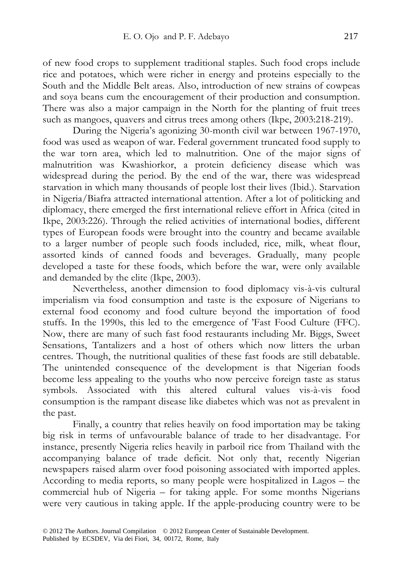of new food crops to supplement traditional staples. Such food crops include rice and potatoes, which were richer in energy and proteins especially to the South and the Middle Belt areas. Also, introduction of new strains of cowpeas and soya beans cum the encouragement of their production and consumption. There was also a major campaign in the North for the planting of fruit trees such as mangoes, quavers and citrus trees among others (Ikpe, 2003:218-219).

 During the Nigeria's agonizing 30-month civil war between 1967-1970, food was used as weapon of war. Federal government truncated food supply to the war torn area, which led to malnutrition. One of the major signs of malnutrition was Kwashiorkor, a protein deficiency disease which was widespread during the period. By the end of the war, there was widespread starvation in which many thousands of people lost their lives (Ibid.). Starvation in Nigeria/Biafra attracted international attention. After a lot of politicking and diplomacy, there emerged the first international relieve effort in Africa (cited in Ikpe, 2003:226). Through the relied activities of international bodies, different types of European foods were brought into the country and became available to a larger number of people such foods included, rice, milk, wheat flour, assorted kinds of canned foods and beverages. Gradually, many people developed a taste for these foods, which before the war, were only available and demanded by the elite (Ikpe, 2003).

 Nevertheless, another dimension to food diplomacy vis-à-vis cultural imperialism via food consumption and taste is the exposure of Nigerians to external food economy and food culture beyond the importation of food stuffs. In the 1990s, this led to the emergence of 'Fast Food Culture (FFC). Now, there are many of such fast food restaurants including Mr. Biggs, Sweet Sensations, Tantalizers and a host of others which now litters the urban centres. Though, the nutritional qualities of these fast foods are still debatable. The unintended consequence of the development is that Nigerian foods become less appealing to the youths who now perceive foreign taste as status symbols. Associated with this altered cultural values vis-à-vis food consumption is the rampant disease like diabetes which was not as prevalent in the past.

 Finally, a country that relies heavily on food importation may be taking big risk in terms of unfavourable balance of trade to her disadvantage. For instance, presently Nigeria relies heavily in parboil rice from Thailand with the accompanying balance of trade deficit. Not only that, recently Nigerian newspapers raised alarm over food poisoning associated with imported apples. According to media reports, so many people were hospitalized in Lagos – the commercial hub of Nigeria – for taking apple. For some months Nigerians were very cautious in taking apple. If the apple-producing country were to be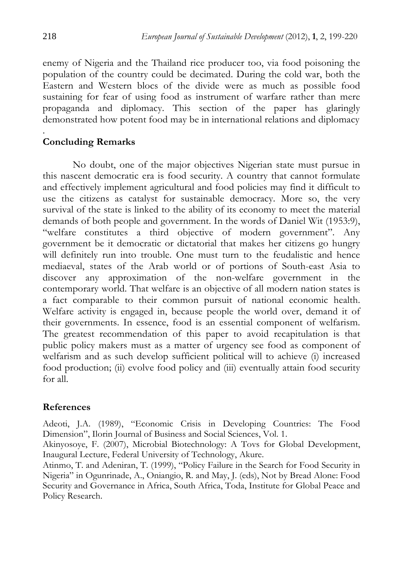enemy of Nigeria and the Thailand rice producer too, via food poisoning the population of the country could be decimated. During the cold war, both the Eastern and Western blocs of the divide were as much as possible food sustaining for fear of using food as instrument of warfare rather than mere propaganda and diplomacy. This section of the paper has glaringly demonstrated how potent food may be in international relations and diplomacy

#### . **Concluding Remarks**

 No doubt, one of the major objectives Nigerian state must pursue in this nascent democratic era is food security. A country that cannot formulate and effectively implement agricultural and food policies may find it difficult to use the citizens as catalyst for sustainable democracy. More so, the very survival of the state is linked to the ability of its economy to meet the material demands of both people and government. In the words of Daniel Wit (1953:9), "welfare constitutes a third objective of modern government". Any government be it democratic or dictatorial that makes her citizens go hungry will definitely run into trouble. One must turn to the feudalistic and hence mediaeval, states of the Arab world or of portions of South-east Asia to discover any approximation of the non-welfare government in the contemporary world. That welfare is an objective of all modern nation states is a fact comparable to their common pursuit of national economic health. Welfare activity is engaged in, because people the world over, demand it of their governments. In essence, food is an essential component of welfarism. The greatest recommendation of this paper to avoid recapitulation is that public policy makers must as a matter of urgency see food as component of welfarism and as such develop sufficient political will to achieve (i) increased food production; (ii) evolve food policy and (iii) eventually attain food security for all.

# **References**

Adeoti, J.A. (1989), "Economic Crisis in Developing Countries: The Food Dimension", Ilorin Journal of Business and Social Sciences, Vol. 1.

Akinyosoye, F. (2007), Microbial Biotechnology: A Tovs for Global Development, Inaugural Lecture, Federal University of Technology, Akure.

Atinmo, T. and Adeniran, T. (1999), "Policy Failure in the Search for Food Security in Nigeria" in Ogunrinade, A., Oniangio, R. and May, J. (eds), Not by Bread Alone: Food Security and Governance in Africa, South Africa, Toda, Institute for Global Peace and Policy Research.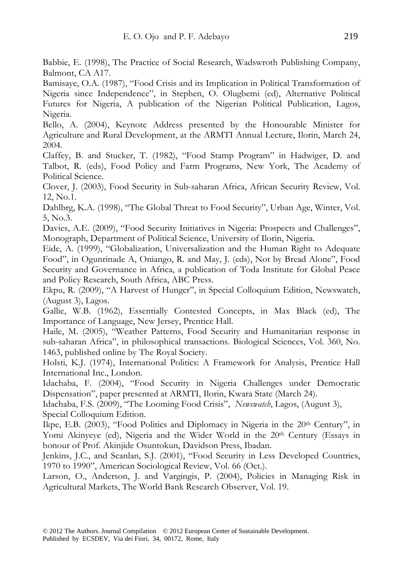Babbie, E. (1998), The Practice of Social Research, Wadswroth Publishing Company, Balmont, CA A17.

Bamisaye, O.A. (1987), "Food Crisis and its Implication in Political Transformation of Nigeria since Independence", in Stephen, O. Olugbemi (ed), Alternative Political Futures for Nigeria, A publication of the Nigerian Political Publication, Lagos, Nigeria.

Bello, A. (2004), Keynote Address presented by the Honourable Minister for Agriculture and Rural Development, at the ARMTI Annual Lecture, Ilorin, March 24, 2004.

Claffey, B. and Stucker, T. (1982), "Food Stamp Program" in Hadwiger, D. and Talbot, R. (eds), Food Policy and Farm Programs, New York, The Academy of Political Science.

Clover, J. (2003), Food Security in Sub-saharan Africa, African Security Review, Vol. 12, No.1.

Dahlbrg, K.A. (1998), "The Global Threat to Food Security", Urban Age, Winter, Vol. 5, No.3.

Davies, A.E. (2009), "Food Security Initiatives in Nigeria: Prospects and Challenges", Monograph, Department of Political Science, University of Ilorin, Nigeria.

Eide, A. (1999), "Globalization, Universalization and the Human Right to Adequate Food", in Ogunrinade A, Oniango, R. and May, J. (eds), Not by Bread Alone", Food Security and Governance in Africa, a publication of Toda Institute for Global Peace and Policy Research, South Africa, ABC Press.

Ekpu, R. (2009), "A Harvest of Hunger", in Special Colloquium Edition, Newswatch, (August 3), Lagos.

Gallie, W.B. (1962), Essentially Contested Concepts, in Max Black (ed), The Importance of Language, New Jersey, Prentice Hall.

Haile, M. (2005), "Weather Patterns, Food Security and Humanitarian response in sub-saharan Africa", in philosophical transactions. Biological Sciences, Vol. 360, No. 1463, published online by The Royal Society.

Holsti, K.J. (1974), International Politics: A Framework for Analysis, Prentice Hall International Inc., London.

Idachaba, F. (2004), "Food Security in Nigeria Challenges under Democratic Dispensation", paper presented at ARMTI, Ilorin, Kwara State (March 24).

Idachaba, F.S. (2009), "The Looming Food Crisis", *Newswatch*, Lagos, (August 3), Special Colloquium Edition.

Ikpe, E.B. (2003), "Food Politics and Diplomacy in Nigeria in the 20<sup>th</sup> Century", in Yomi Akinyeye (ed), Nigeria and the Wider World in the 20th Century (Essays in honour of Prof. Akinjide Osuntokun, Davidson Press, Ibadan.

Jenkins, J.C., and Scanlan, S.J. (2001), "Food Security in Less Developed Countries, 1970 to 1990", American Sociological Review, Vol. 66 (Oct.).

Larson, O., Anderson, J. and Vargingis, P. (2004), Policies in Managing Risk in Agricultural Markets, The World Bank Research Observer, Vol. 19.